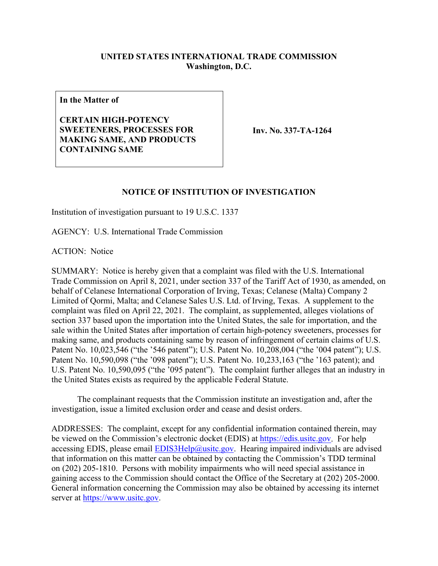## **UNITED STATES INTERNATIONAL TRADE COMMISSION Washington, D.C.**

**In the Matter of**

**CERTAIN HIGH-POTENCY SWEETENERS, PROCESSES FOR MAKING SAME, AND PRODUCTS CONTAINING SAME**

**Inv. No. 337-TA-1264**

## **NOTICE OF INSTITUTION OF INVESTIGATION**

Institution of investigation pursuant to 19 U.S.C. 1337

AGENCY: U.S. International Trade Commission

ACTION: Notice

SUMMARY: Notice is hereby given that a complaint was filed with the U.S. International Trade Commission on April 8, 2021, under section 337 of the Tariff Act of 1930, as amended, on behalf of Celanese International Corporation of Irving, Texas; Celanese (Malta) Company 2 Limited of Qormi, Malta; and Celanese Sales U.S. Ltd. of Irving, Texas. A supplement to the complaint was filed on April 22, 2021. The complaint, as supplemented, alleges violations of section 337 based upon the importation into the United States, the sale for importation, and the sale within the United States after importation of certain high-potency sweeteners, processes for making same, and products containing same by reason of infringement of certain claims of U.S. Patent No. 10,023,546 ("the '546 patent"); U.S. Patent No. 10,208,004 ("the '004 patent"); U.S. Patent No. 10,590,098 ("the '098 patent"); U.S. Patent No. 10,233,163 ("the '163 patent); and U.S. Patent No. 10,590,095 ("the '095 patent"). The complaint further alleges that an industry in the United States exists as required by the applicable Federal Statute.

The complainant requests that the Commission institute an investigation and, after the investigation, issue a limited exclusion order and cease and desist orders.

ADDRESSES: The complaint, except for any confidential information contained therein, may be viewed on the Commission's electronic docket (EDIS) at [https://edis.usitc.gov.](https://edis.usitc.gov/) For help accessing EDIS, please email  $EDIS3Help@usite.gov$ . Hearing impaired individuals are advised that information on this matter can be obtained by contacting the Commission's TDD terminal on (202) 205-1810. Persons with mobility impairments who will need special assistance in gaining access to the Commission should contact the Office of the Secretary at (202) 205-2000. General information concerning the Commission may also be obtained by accessing its internet server at [https://www.usitc.gov.](https://www.usitc.gov/)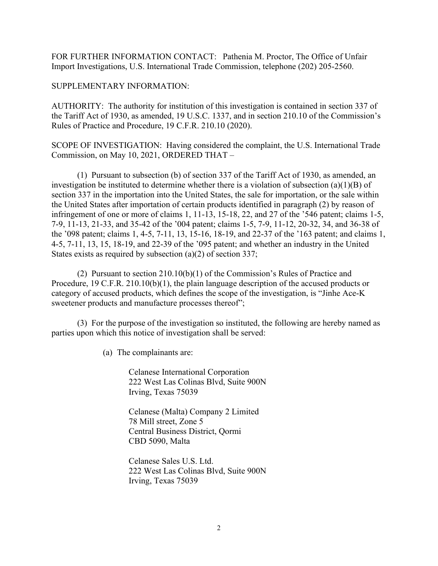FOR FURTHER INFORMATION CONTACT: Pathenia M. Proctor, The Office of Unfair Import Investigations, U.S. International Trade Commission, telephone (202) 205-2560.

## SUPPLEMENTARY INFORMATION:

AUTHORITY: The authority for institution of this investigation is contained in section 337 of the Tariff Act of 1930, as amended, 19 U.S.C. 1337, and in section 210.10 of the Commission's Rules of Practice and Procedure, 19 C.F.R. 210.10 (2020).

SCOPE OF INVESTIGATION: Having considered the complaint, the U.S. International Trade Commission, on May 10, 2021, ORDERED THAT –

(1) Pursuant to subsection (b) of section 337 of the Tariff Act of 1930, as amended, an investigation be instituted to determine whether there is a violation of subsection (a)(1)(B) of section 337 in the importation into the United States, the sale for importation, or the sale within the United States after importation of certain products identified in paragraph (2) by reason of infringement of one or more of claims 1, 11-13, 15-18, 22, and 27 of the '546 patent; claims 1-5, 7-9, 11-13, 21-33, and 35-42 of the '004 patent; claims 1-5, 7-9, 11-12, 20-32, 34, and 36-38 of the '098 patent; claims 1, 4-5, 7-11, 13, 15-16, 18-19, and 22-37 of the '163 patent; and claims 1, 4-5, 7-11, 13, 15, 18-19, and 22-39 of the '095 patent; and whether an industry in the United States exists as required by subsection (a)(2) of section 337;

(2) Pursuant to section 210.10(b)(1) of the Commission's Rules of Practice and Procedure, 19 C.F.R. 210.10(b)(1), the plain language description of the accused products or category of accused products, which defines the scope of the investigation, is "Jinhe Ace-K sweetener products and manufacture processes thereof";

(3) For the purpose of the investigation so instituted, the following are hereby named as parties upon which this notice of investigation shall be served:

(a) The complainants are:

Celanese International Corporation 222 West Las Colinas Blvd, Suite 900N Irving, Texas 75039

Celanese (Malta) Company 2 Limited 78 Mill street, Zone 5 Central Business District, Qormi CBD 5090, Malta

Celanese Sales U.S. Ltd. 222 West Las Colinas Blvd, Suite 900N Irving, Texas 75039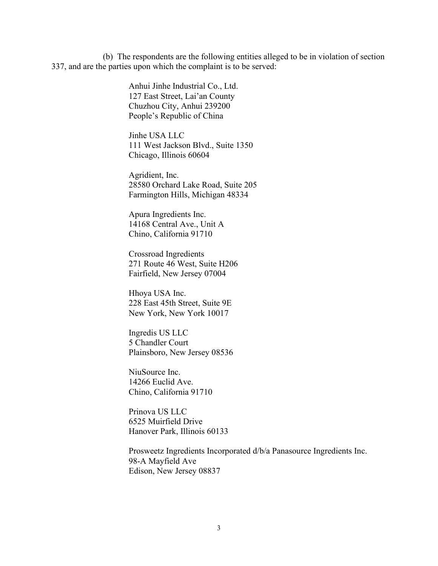(b) The respondents are the following entities alleged to be in violation of section 337, and are the parties upon which the complaint is to be served:

> Anhui Jinhe Industrial Co., Ltd. 127 East Street, Lai'an County Chuzhou City, Anhui 239200 People's Republic of China

Jinhe USA LLC 111 West Jackson Blvd., Suite 1350 Chicago, Illinois 60604

Agridient, Inc. 28580 Orchard Lake Road, Suite 205 Farmington Hills, Michigan 48334

Apura Ingredients Inc. 14168 Central Ave., Unit A Chino, California 91710

Crossroad Ingredients 271 Route 46 West, Suite H206 Fairfield, New Jersey 07004

Hhoya USA Inc. 228 East 45th Street, Suite 9E New York, New York 10017

Ingredis US LLC 5 Chandler Court Plainsboro, New Jersey 08536

NiuSource Inc. 14266 Euclid Ave. Chino, California 91710

Prinova US LLC 6525 Muirfield Drive Hanover Park, Illinois 60133

Prosweetz Ingredients Incorporated d/b/a Panasource Ingredients Inc. 98-A Mayfield Ave Edison, New Jersey 08837